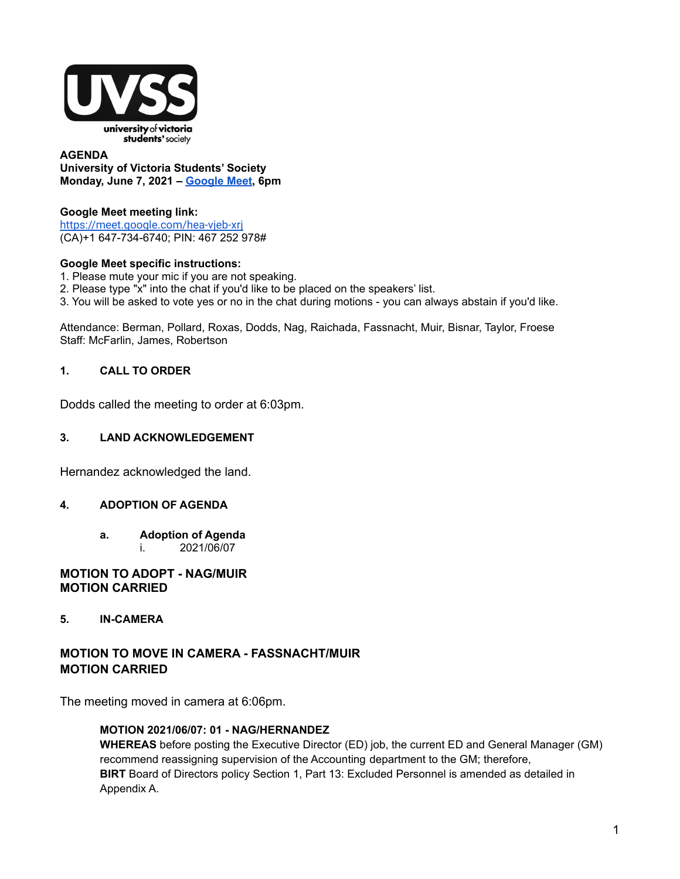

#### **AGENDA University of Victoria Students' Society Monday, June 7, 2021 – [Google](https://meet.google.com/hea-vjeb-xrj) Meet, 6pm**

## **Google Meet meeting link[:](https://us02web.zoom.us/j/84726203931?pwd=bGNKTElKZEFIWkNvRlY2TFBqb3dQUT09)**

<https://meet.google.com/hea-vjeb-xrj> (CA)+1 647-734-6740; PIN: 467 252 978#

### **Google Meet specific instructions:**

- 1. Please mute your mic if you are not speaking.
- 2. Please type "x" into the chat if you'd like to be placed on the speakers' list.
- 3. You will be asked to vote yes or no in the chat during motions you can always abstain if you'd like.

Attendance: Berman, Pollard, Roxas, Dodds, Nag, Raichada, Fassnacht, Muir, Bisnar, Taylor, Froese Staff: McFarlin, James, Robertson

### **1. CALL TO ORDER**

Dodds called the meeting to order at 6:03pm.

#### **3. LAND ACKNOWLEDGEMENT**

Hernandez acknowledged the land.

### **4. ADOPTION OF AGENDA**

**a. Adoption of Agenda** i. 2021/06/07

#### **MOTION TO ADOPT - NAG/MUIR MOTION CARRIED**

### **5. IN-CAMERA**

# **MOTION TO MOVE IN CAMERA - FASSNACHT/MUIR MOTION CARRIED**

The meeting moved in camera at 6:06pm.

#### **MOTION 2021/06/07: 01 - NAG/HERNANDEZ**

**WHEREAS** before posting the Executive Director (ED) job, the current ED and General Manager (GM) recommend reassigning supervision of the Accounting department to the GM; therefore, **BIRT** Board of Directors policy Section 1, Part 13: Excluded Personnel is amended as detailed in Appendix A.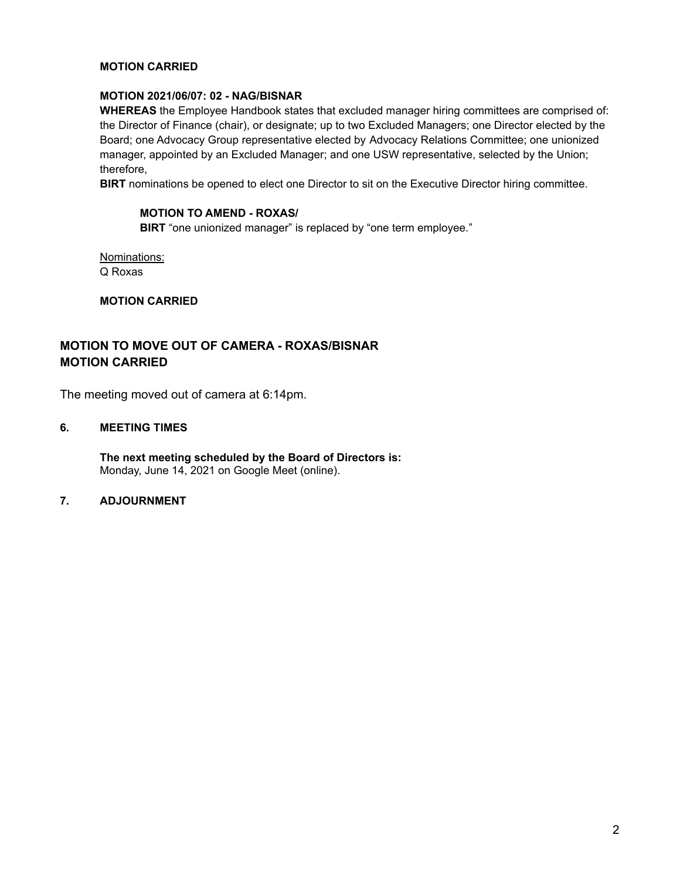#### **MOTION CARRIED**

#### **MOTION 2021/06/07: 02 - NAG/BISNAR**

**WHEREAS** the Employee Handbook states that excluded manager hiring committees are comprised of: the Director of Finance (chair), or designate; up to two Excluded Managers; one Director elected by the Board; one Advocacy Group representative elected by Advocacy Relations Committee; one unionized manager, appointed by an Excluded Manager; and one USW representative, selected by the Union; therefore,

**BIRT** nominations be opened to elect one Director to sit on the Executive Director hiring committee.

#### **MOTION TO AMEND - ROXAS/**

**BIRT** "one unionized manager" is replaced by "one term employee."

Nominations: Q Roxas

**MOTION CARRIED**

# **MOTION TO MOVE OUT OF CAMERA - ROXAS/BISNAR MOTION CARRIED**

The meeting moved out of camera at 6:14pm.

# **6. MEETING TIMES**

**The next meeting scheduled by the Board of Directors is:** Monday, June 14, 2021 on Google Meet (online).

# **7. ADJOURNMENT**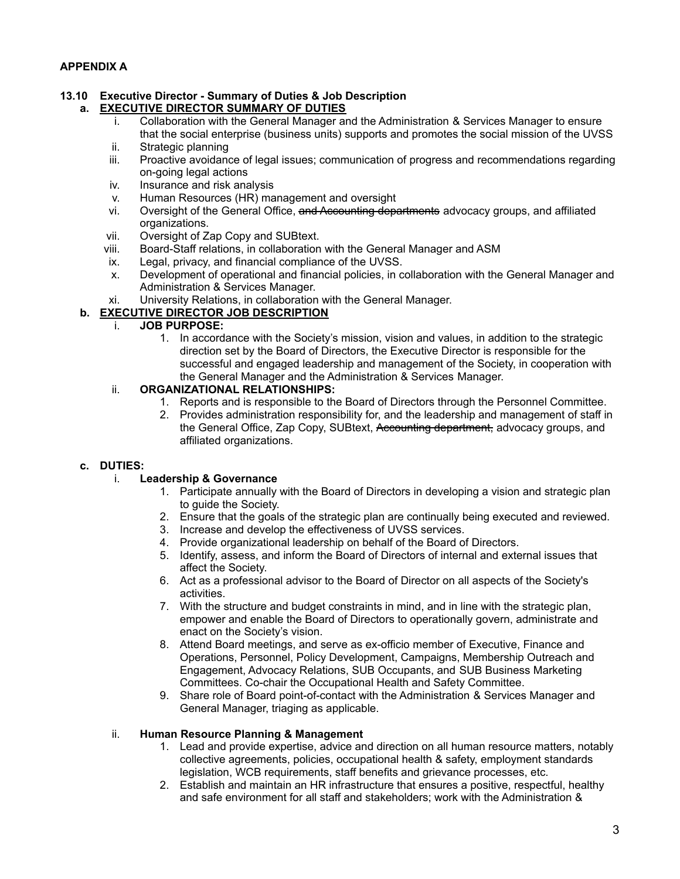#### **13.10 Executive Director - Summary of Duties & Job Description a. EXECUTIVE DIRECTOR SUMMARY OF DUTIES**

- i. Collaboration with the General Manager and the Administration & Services Manager to ensure that the social enterprise (business units) supports and promotes the social mission of the UVSS
- ii. Strategic planning
- iii. Proactive avoidance of legal issues; communication of progress and recommendations regarding on-going legal actions
- iv. Insurance and risk analysis
- v. Human Resources (HR) management and oversight
- vi. Oversight of the General Office, and Accounting departments advocacy groups, and affiliated organizations.
- vii. Oversight of Zap Copy and SUBtext.
- viii. Board-Staff relations, in collaboration with the General Manager and ASM
- ix. Legal, privacy, and financial compliance of the UVSS.
- x. Development of operational and financial policies, in collaboration with the General Manager and Administration & Services Manager.
- xi. University Relations, in collaboration with the General Manager.

# **b. EXECUTIVE DIRECTOR JOB DESCRIPTION**

#### i. **JOB PURPOSE:**

1. In accordance with the Society's mission, vision and values, in addition to the strategic direction set by the Board of Directors, the Executive Director is responsible for the successful and engaged leadership and management of the Society, in cooperation with the General Manager and the Administration & Services Manager.

### ii. **ORGANIZATIONAL RELATIONSHIPS:**

- 1. Reports and is responsible to the Board of Directors through the Personnel Committee.
- 2. Provides administration responsibility for, and the leadership and management of staff in the General Office, Zap Copy, SUBtext, Accounting department, advocacy groups, and affiliated organizations.

### **c. DUTIES:**

### i. **Leadership & Governance**

- 1. Participate annually with the Board of Directors in developing a vision and strategic plan to guide the Society.
- 2. Ensure that the goals of the strategic plan are continually being executed and reviewed.
- 3. Increase and develop the effectiveness of UVSS services.
- 4. Provide organizational leadership on behalf of the Board of Directors.
- 5. Identify, assess, and inform the Board of Directors of internal and external issues that affect the Society.
- 6. Act as a professional advisor to the Board of Director on all aspects of the Society's activities.
- 7. With the structure and budget constraints in mind, and in line with the strategic plan, empower and enable the Board of Directors to operationally govern, administrate and enact on the Society's vision.
- 8. Attend Board meetings, and serve as ex-officio member of Executive, Finance and Operations, Personnel, Policy Development, Campaigns, Membership Outreach and Engagement, Advocacy Relations, SUB Occupants, and SUB Business Marketing Committees. Co-chair the Occupational Health and Safety Committee.
- 9. Share role of Board point-of-contact with the Administration & Services Manager and General Manager, triaging as applicable.

### ii. **Human Resource Planning & Management**

- 1. Lead and provide expertise, advice and direction on all human resource matters, notably collective agreements, policies, occupational health & safety, employment standards legislation, WCB requirements, staff benefits and grievance processes, etc.
- 2. Establish and maintain an HR infrastructure that ensures a positive, respectful, healthy and safe environment for all staff and stakeholders; work with the Administration &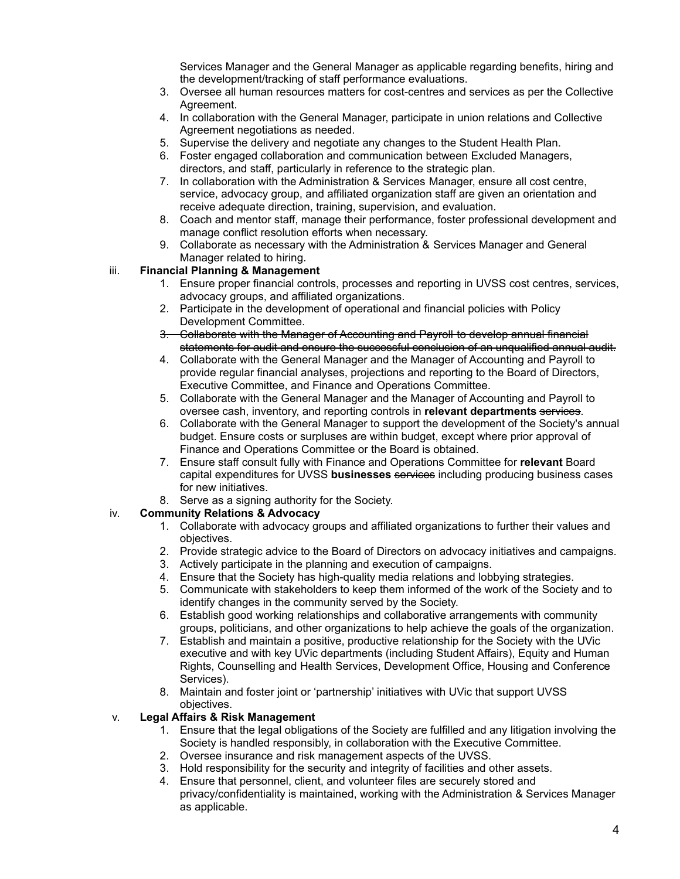Services Manager and the General Manager as applicable regarding benefits, hiring and the development/tracking of staff performance evaluations.

- 3. Oversee all human resources matters for cost-centres and services as per the Collective Agreement.
- 4. In collaboration with the General Manager, participate in union relations and Collective Agreement negotiations as needed.
- 5. Supervise the delivery and negotiate any changes to the Student Health Plan.
- 6. Foster engaged collaboration and communication between Excluded Managers, directors, and staff, particularly in reference to the strategic plan.
- 7. In collaboration with the Administration & Services Manager, ensure all cost centre, service, advocacy group, and affiliated organization staff are given an orientation and receive adequate direction, training, supervision, and evaluation.
- 8. Coach and mentor staff, manage their performance, foster professional development and manage conflict resolution efforts when necessary.
- 9. Collaborate as necessary with the Administration & Services Manager and General Manager related to hiring.

# iii. **Financial Planning & Management**

- 1. Ensure proper financial controls, processes and reporting in UVSS cost centres, services, advocacy groups, and affiliated organizations.
- 2. Participate in the development of operational and financial policies with Policy Development Committee.
- 3. Collaborate with the Manager of Accounting and Payroll to develop annual financial statements for audit and ensure the successful conclusion of an unqualified annual audit.
- 4. Collaborate with the General Manager and the Manager of Accounting and Payroll to provide regular financial analyses, projections and reporting to the Board of Directors, Executive Committee, and Finance and Operations Committee.
- 5. Collaborate with the General Manager and the Manager of Accounting and Payroll to oversee cash, inventory, and reporting controls in **relevant departments** services.
- 6. Collaborate with the General Manager to support the development of the Society's annual budget. Ensure costs or surpluses are within budget, except where prior approval of Finance and Operations Committee or the Board is obtained.
- 7. Ensure staff consult fully with Finance and Operations Committee for **relevant** Board capital expenditures for UVSS **businesses** services including producing business cases for new initiatives.
- 8. Serve as a signing authority for the Society.

# iv. **Community Relations & Advocacy**

- 1. Collaborate with advocacy groups and affiliated organizations to further their values and objectives.
- 2. Provide strategic advice to the Board of Directors on advocacy initiatives and campaigns.
- 3. Actively participate in the planning and execution of campaigns.
- 4. Ensure that the Society has high-quality media relations and lobbying strategies.
- 5. Communicate with stakeholders to keep them informed of the work of the Society and to identify changes in the community served by the Society.
- 6. Establish good working relationships and collaborative arrangements with community groups, politicians, and other organizations to help achieve the goals of the organization.
- 7. Establish and maintain a positive, productive relationship for the Society with the UVic executive and with key UVic departments (including Student Affairs), Equity and Human Rights, Counselling and Health Services, Development Office, Housing and Conference Services).
- 8. Maintain and foster joint or 'partnership' initiatives with UVic that support UVSS objectives.

### v. **Legal Affairs & Risk Management**

- 1. Ensure that the legal obligations of the Society are fulfilled and any litigation involving the Society is handled responsibly, in collaboration with the Executive Committee.
- 2. Oversee insurance and risk management aspects of the UVSS.
- 3. Hold responsibility for the security and integrity of facilities and other assets.
- 4. Ensure that personnel, client, and volunteer files are securely stored and privacy/confidentiality is maintained, working with the Administration & Services Manager as applicable.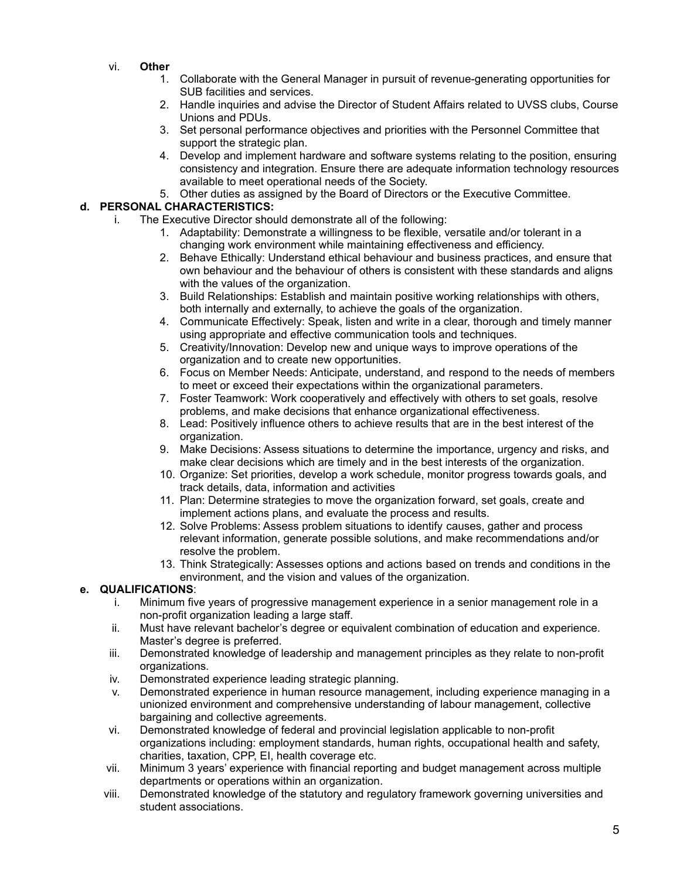- vi. **Other**
	- 1. Collaborate with the General Manager in pursuit of revenue-generating opportunities for SUB facilities and services.
	- 2. Handle inquiries and advise the Director of Student Affairs related to UVSS clubs, Course Unions and PDUs.
	- 3. Set personal performance objectives and priorities with the Personnel Committee that support the strategic plan.
	- 4. Develop and implement hardware and software systems relating to the position, ensuring consistency and integration. Ensure there are adequate information technology resources available to meet operational needs of the Society.
	- 5. Other duties as assigned by the Board of Directors or the Executive Committee.

# **d. PERSONAL CHARACTERISTICS:**

- i. The Executive Director should demonstrate all of the following:
	- 1. Adaptability: Demonstrate a willingness to be flexible, versatile and/or tolerant in a changing work environment while maintaining effectiveness and efficiency.
	- 2. Behave Ethically: Understand ethical behaviour and business practices, and ensure that own behaviour and the behaviour of others is consistent with these standards and aligns with the values of the organization.
	- 3. Build Relationships: Establish and maintain positive working relationships with others, both internally and externally, to achieve the goals of the organization.
	- 4. Communicate Effectively: Speak, listen and write in a clear, thorough and timely manner using appropriate and effective communication tools and techniques.
	- 5. Creativity/Innovation: Develop new and unique ways to improve operations of the organization and to create new opportunities.
	- 6. Focus on Member Needs: Anticipate, understand, and respond to the needs of members to meet or exceed their expectations within the organizational parameters.
	- 7. Foster Teamwork: Work cooperatively and effectively with others to set goals, resolve problems, and make decisions that enhance organizational effectiveness.
	- 8. Lead: Positively influence others to achieve results that are in the best interest of the organization.
	- 9. Make Decisions: Assess situations to determine the importance, urgency and risks, and make clear decisions which are timely and in the best interests of the organization.
	- 10. Organize: Set priorities, develop a work schedule, monitor progress towards goals, and track details, data, information and activities
	- 11. Plan: Determine strategies to move the organization forward, set goals, create and implement actions plans, and evaluate the process and results.
	- 12. Solve Problems: Assess problem situations to identify causes, gather and process relevant information, generate possible solutions, and make recommendations and/or resolve the problem.
	- 13. Think Strategically: Assesses options and actions based on trends and conditions in the environment, and the vision and values of the organization.

# **e. QUALIFICATIONS**:

- i. Minimum five years of progressive management experience in a senior management role in a non-profit organization leading a large staff.
- ii. Must have relevant bachelor's degree or equivalent combination of education and experience. Master's degree is preferred.
- iii. Demonstrated knowledge of leadership and management principles as they relate to non-profit organizations.
- iv. Demonstrated experience leading strategic planning.
- v. Demonstrated experience in human resource management, including experience managing in a unionized environment and comprehensive understanding of labour management, collective bargaining and collective agreements.
- vi. Demonstrated knowledge of federal and provincial legislation applicable to non-profit organizations including: employment standards, human rights, occupational health and safety, charities, taxation, CPP, EI, health coverage etc.
- vii. Minimum 3 years' experience with financial reporting and budget management across multiple departments or operations within an organization.
- viii. Demonstrated knowledge of the statutory and regulatory framework governing universities and student associations.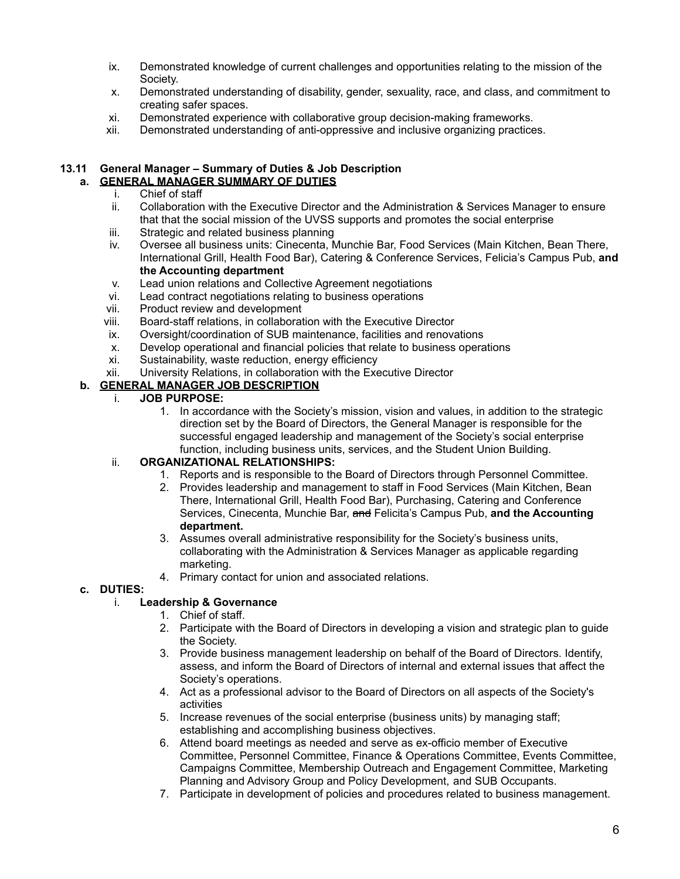- ix. Demonstrated knowledge of current challenges and opportunities relating to the mission of the Society.
- x. Demonstrated understanding of disability, gender, sexuality, race, and class, and commitment to creating safer spaces.
- xi. Demonstrated experience with collaborative group decision-making frameworks.
- xii. Demonstrated understanding of anti-oppressive and inclusive organizing practices.

#### **13.11 General Manager – Summary of Duties & Job Description a. GENERAL MANAGER SUMMARY OF DUTIES**

- i. Chief of staff
- ii. Collaboration with the Executive Director and the Administration & Services Manager to ensure that that the social mission of the UVSS supports and promotes the social enterprise
- iii. Strategic and related business planning
- iv. Oversee all business units: Cinecenta, Munchie Bar, Food Services (Main Kitchen, Bean There, International Grill, Health Food Bar), Catering & Conference Services, Felicia's Campus Pub, **and the Accounting department**
- v. Lead union relations and Collective Agreement negotiations
- vi. Lead contract negotiations relating to business operations
- vii. Product review and development
- viii. Board-staff relations, in collaboration with the Executive Director
- ix. Oversight/coordination of SUB maintenance, facilities and renovations
- x. Develop operational and financial policies that relate to business operations
- xi. Sustainability, waste reduction, energy efficiency
- xii. University Relations, in collaboration with the Executive Director

### **b. GENERAL MANAGER JOB DESCRIPTION**

#### i. **JOB PURPOSE:**

1. In accordance with the Society's mission, vision and values, in addition to the strategic direction set by the Board of Directors, the General Manager is responsible for the successful engaged leadership and management of the Society's social enterprise function, including business units, services, and the Student Union Building.

### ii. **ORGANIZATIONAL RELATIONSHIPS:**

- 1. Reports and is responsible to the Board of Directors through Personnel Committee.
- 2. Provides leadership and management to staff in Food Services (Main Kitchen, Bean There, International Grill, Health Food Bar), Purchasing, Catering and Conference Services, Cinecenta, Munchie Bar, and Felicita's Campus Pub, **and the Accounting department.**
- 3. Assumes overall administrative responsibility for the Society's business units, collaborating with the Administration & Services Manager as applicable regarding marketing.
- 4. Primary contact for union and associated relations.

### **c. DUTIES:**

### i. **Leadership & Governance**

- 1. Chief of staff.
- 2. Participate with the Board of Directors in developing a vision and strategic plan to guide the Society.
- 3. Provide business management leadership on behalf of the Board of Directors. Identify, assess, and inform the Board of Directors of internal and external issues that affect the Society's operations.
- 4. Act as a professional advisor to the Board of Directors on all aspects of the Society's activities
- 5. Increase revenues of the social enterprise (business units) by managing staff; establishing and accomplishing business objectives.
- 6. Attend board meetings as needed and serve as ex-officio member of Executive Committee, Personnel Committee, Finance & Operations Committee, Events Committee, Campaigns Committee, Membership Outreach and Engagement Committee, Marketing Planning and Advisory Group and Policy Development, and SUB Occupants.
- 7. Participate in development of policies and procedures related to business management.